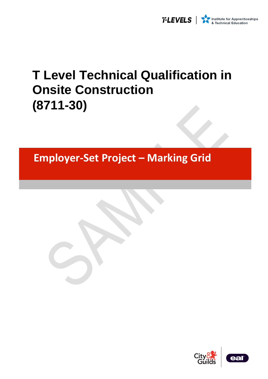

# **T Level Technical Qualification in Onsite Construction (8711-30)**

**Employer-Set Project – Marking Grid**

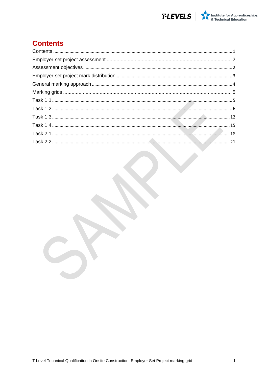

## <span id="page-1-0"></span>**Contents**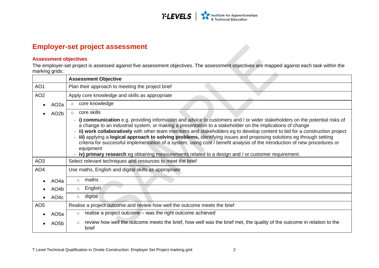

### **Employer-set project assessment**

#### **Assessment objectives**

The employer-set project is assessed against five assessment objectives. The assessment objectives are mapped against each task within the marking grids:  $\overline{\phantom{a}}$ 

<span id="page-2-1"></span><span id="page-2-0"></span>

|                 |                   | <b>Assessment Objective</b>                                                                                                                                                                                                                                                                                                                                                                                                                                                                                                                                                                                                                                                                                                                        |
|-----------------|-------------------|----------------------------------------------------------------------------------------------------------------------------------------------------------------------------------------------------------------------------------------------------------------------------------------------------------------------------------------------------------------------------------------------------------------------------------------------------------------------------------------------------------------------------------------------------------------------------------------------------------------------------------------------------------------------------------------------------------------------------------------------------|
| AO <sub>1</sub> |                   | Plan their approach to meeting the project brief                                                                                                                                                                                                                                                                                                                                                                                                                                                                                                                                                                                                                                                                                                   |
| AO <sub>2</sub> |                   | Apply core knowledge and skills as appropriate                                                                                                                                                                                                                                                                                                                                                                                                                                                                                                                                                                                                                                                                                                     |
|                 | AO <sub>2</sub> a | core knowledge<br>$\circ$                                                                                                                                                                                                                                                                                                                                                                                                                                                                                                                                                                                                                                                                                                                          |
|                 | AO <sub>2</sub> b | core skills<br>$\circ$                                                                                                                                                                                                                                                                                                                                                                                                                                                                                                                                                                                                                                                                                                                             |
|                 |                   | - i) communication e.g. providing information and advice to customers and / or wider stakeholders on the potential risks of<br>a change to an industrial system, or making a presentation to a stakeholder on the implications of change<br>- ii) work collaboratively with other team members and stakeholders eg to develop content to bid for a construction project<br>- iii) applying a logical approach to solving problems, identifying issues and proposing solutions eg through setting<br>criteria for successful implementation of a system, using cost / benefit analysis of the introduction of new procedures or<br>equipment<br>- iv) primary research eg obtaining measurements related to a design and / or customer requirement. |
| AO <sub>3</sub> |                   | Select relevant techniques and resources to meet the brief                                                                                                                                                                                                                                                                                                                                                                                                                                                                                                                                                                                                                                                                                         |
| AO <sub>4</sub> |                   | Use maths, English and digital skills as appropriate                                                                                                                                                                                                                                                                                                                                                                                                                                                                                                                                                                                                                                                                                               |
|                 | AO <sub>4</sub> a | maths<br>$\circ$                                                                                                                                                                                                                                                                                                                                                                                                                                                                                                                                                                                                                                                                                                                                   |
|                 | AO4b              | English<br>$\circ$                                                                                                                                                                                                                                                                                                                                                                                                                                                                                                                                                                                                                                                                                                                                 |
|                 | AO4c              | digital<br>$\circ$                                                                                                                                                                                                                                                                                                                                                                                                                                                                                                                                                                                                                                                                                                                                 |
| AO <sub>5</sub> |                   | Realise a project outcome and review how well the outcome meets the brief                                                                                                                                                                                                                                                                                                                                                                                                                                                                                                                                                                                                                                                                          |
|                 | AO <sub>5a</sub>  | realise a project outcome – was the right outcome achieved<br>$\circ$                                                                                                                                                                                                                                                                                                                                                                                                                                                                                                                                                                                                                                                                              |
|                 | AO <sub>5</sub> b | review how well the outcome meets the brief, how well was the brief met, the quality of the outcome in relation to the<br>$\circ$<br>brief                                                                                                                                                                                                                                                                                                                                                                                                                                                                                                                                                                                                         |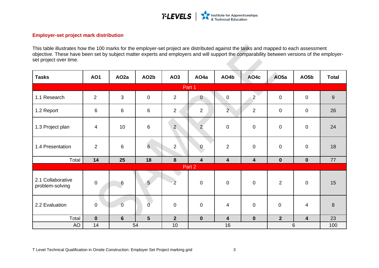

#### **Employer-set project mark distribution**

This table illustrates how the 100 marks for the employer-set project are distributed against the tasks and mapped to each assessment objective. These have been set by subject matter experts and employers and will support the comparability between versions of the employerset project over time.

<span id="page-3-0"></span>

| <b>Tasks</b>                         | <b>AO1</b>       | AO <sub>2a</sub> | AO <sub>2</sub> b | AO <sub>3</sub> | AO <sub>4</sub> a       | AO4b                     | AO4c           | AO <sub>5a</sub> | AO5b                    | <b>Total</b>     |
|--------------------------------------|------------------|------------------|-------------------|-----------------|-------------------------|--------------------------|----------------|------------------|-------------------------|------------------|
|                                      |                  |                  |                   |                 | Part 1                  |                          |                |                  |                         |                  |
| 1.1 Research                         | 2                | 3                | $\mathbf 0$       | $\overline{2}$  | $\overline{0}$          | $\boldsymbol{0}$         | $\overline{2}$ | $\mathbf 0$      | $\mathbf 0$             | $\boldsymbol{9}$ |
| 1.2 Report                           | 6                | $\,6\,$          | $\,6\,$           | $\overline{2}$  | $\overline{2}$          | $\overline{2}$           | 2              | $\mathbf 0$      | $\mathbf 0$             | 26               |
| 1.3 Project plan                     | $\overline{4}$   | 10               | $\,6\,$           | $\overline{2}$  | $\overline{2}$          | $\boldsymbol{0}$         | $\mathbf 0$    | $\mathbf 0$      | $\mathbf 0$             | 24               |
| 1.4 Presentation                     | $\overline{2}$   | $\,6\,$          | $6\overline{6}$   | $\overline{2}$  | $\overline{0}$          | $\overline{2}$           | $\mathbf 0$    | $\mathbf 0$      | $\mathbf 0$             | 18               |
| Total                                | 14               | 25               | 18                | 8               | $\overline{\mathbf{4}}$ | $\overline{\mathbf{4}}$  | 4              | $\bf{0}$         | $\mathbf 0$             | 77               |
|                                      |                  |                  |                   |                 | Part 2                  |                          |                |                  |                         |                  |
| 2.1 Collaborative<br>problem-solving | $\boldsymbol{0}$ | 6                | $5\overline{)}$   | $\overline{2}$  | $\pmb{0}$               | $\pmb{0}$                | $\mathbf 0$    | 2                | $\mathbf 0$             | 15               |
| 2.2 Evaluation                       | $\mathbf 0$      | $\overline{0}$   | $\overline{0}$    | $\mathbf 0$     | $\pmb{0}$               | $\overline{\mathcal{A}}$ | $\mathbf 0$    | $\overline{0}$   | $\overline{\mathbf{4}}$ | $\boldsymbol{8}$ |
| Total                                | $\mathbf 0$      | $6\phantom{1}$   | $5\phantom{1}$    | $\overline{2}$  | $\mathbf 0$             | $\overline{\mathbf{4}}$  | $\mathbf 0$    | 2 <sup>1</sup>   | $\overline{\mathbf{4}}$ | 23               |
| <b>AO</b>                            | 54<br>14         |                  |                   | 10              |                         | 16                       |                | 6                | 100                     |                  |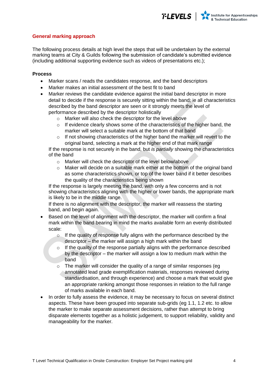#### <span id="page-4-0"></span>**General marking approach**

The following process details at high level the steps that will be undertaken by the external marking teams at City & Guilds following the submission of candidate's submitted evidence (including additional supporting evidence such as videos of presentations etc.);

#### **Process**

- Marker scans / reads the candidates response, and the band descriptors
- Marker makes an initial assessment of the best fit to band
- Marker reviews the candidate evidence against the initial band descriptor in more detail to decide if the response is securely sitting within the band; ie all characteristics described by the band descriptor are seen or it strongly meets the level of performance described by the descriptor holistically
	- o Marker will also check the descriptor for the level above
	- $\circ$  If evidence clearly shows some of the characteristics of the higher band, the marker will select a suitable mark at the bottom of that band
	- $\circ$  If not showing characteristics of the higher band the marker will revert to the original band, selecting a mark at the higher end of that mark range

If the response is not securely in the band, but *is partially* showing the characteristics of the band

- o Marker will check the descriptor of the level below/above
- $\circ$  Maker will decide on a suitable mark either at the bottom of the original band as some characteristics shown, or top of the lower band if it better describes the quality of the characteristics being shown

If the response is largely meeting the band, with only a few concerns and is not showing characteristics aligning with the higher or lower bands, the appropriate mark is likely to be in the middle range.

If there is no alignment with the descriptor, the marker will reassess the starting band, and begin again.

- Based on the level of alignment with the descriptor, the marker will confirm a final mark within the band bearing in mind the marks available form an evenly distributed scale:
	- $\circ$  If the quality of response fully aligns with the performance described by the descriptor – the marker will assign a high mark within the band
	- $\circ$  If the quality of the response partially aligns with the performance described by the descriptor – the marker will assign a low to medium mark within the band
	- $\circ$  The marker will consider the quality of a range of similar responses (eq annotated lead grade exemplification materials, responses reviewed during standardisation, and through experience) and choose a mark that would give an appropriate ranking amongst those responses in relation to the full range of marks available in each band.
- In order to fully assess the evidence, it may be necessary to focus on several distinct aspects. These have been grouped into separate sub-grids (eg 1.1, 1.2 etc. to allow the marker to make separate assessment decisions, rather than attempt to bring disparate elements together as a holistic judgement, to support reliability, validity and manageability for the marker.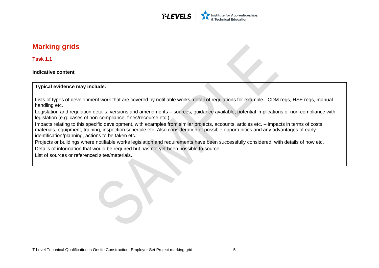

## **Marking grids**

**Task 1.1**

**Indicative content** 

**Typical evidence may include:** 

Lists of types of development work that are covered by notifiable works, detail of regulations for example - CDM regs, HSE regs, manual handling etc.

Legislation and regulation details, versions and amendments – sources, guidance available, potential implications of non-compliance with legislation (e.g. cases of non-compliance, fines/recourse etc.).

Impacts relating to this specific development, with examples from similar projects, accounts, articles etc. – impacts in terms of costs, materials, equipment, training, inspection schedule etc. Also consideration of possible opportunities and any advantages of early identification/planning, actions to be taken etc.

<span id="page-5-0"></span>Projects or buildings where notifiable works legislation and requirements have been successfully considered, with details of how etc. Details of information that would be required but has not yet been possible to source.

<span id="page-5-1"></span>List of sources or referenced sites/materials.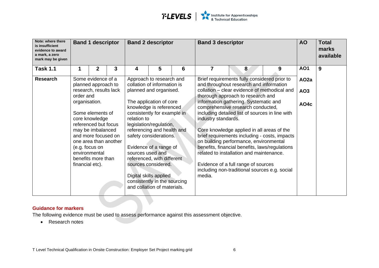

| Note: where there<br>is insufficient<br>evidence to award<br>a mark, a zero<br>mark may be given |                                  | <b>Band 1 descriptor</b>                                                                                                                                                                 |   |                                 | <b>Band 2 descriptor</b>                                                                                                                                                                                                                                                      |   | <b>Band 3 descriptor</b>      |                                                                                                                                                                                                                                                                                                                                                                                                                                                              |   | <b>AO</b>        | <b>Total</b><br>marks<br>available |
|--------------------------------------------------------------------------------------------------|----------------------------------|------------------------------------------------------------------------------------------------------------------------------------------------------------------------------------------|---|---------------------------------|-------------------------------------------------------------------------------------------------------------------------------------------------------------------------------------------------------------------------------------------------------------------------------|---|-------------------------------|--------------------------------------------------------------------------------------------------------------------------------------------------------------------------------------------------------------------------------------------------------------------------------------------------------------------------------------------------------------------------------------------------------------------------------------------------------------|---|------------------|------------------------------------|
| <b>Task 1.1</b>                                                                                  |                                  | $\mathbf{2}$                                                                                                                                                                             | 3 | 4                               | 5                                                                                                                                                                                                                                                                             | 6 | $\overline{7}$                | 8                                                                                                                                                                                                                                                                                                                                                                                                                                                            | 9 | <b>AO1</b>       | 9                                  |
| <b>Research</b>                                                                                  |                                  | Some evidence of a<br>planned approach to                                                                                                                                                |   |                                 | Approach to research and<br>collation of information is                                                                                                                                                                                                                       |   |                               | Brief requirements fully considered prior to<br>and throughout research and information                                                                                                                                                                                                                                                                                                                                                                      |   | AO <sub>2a</sub> |                                    |
|                                                                                                  | order and                        | research, results lack                                                                                                                                                                   |   |                                 | planned and organised.                                                                                                                                                                                                                                                        |   |                               | collation – clear evidence of methodical and<br>thorough approach to research and                                                                                                                                                                                                                                                                                                                                                                            |   | AO <sub>3</sub>  |                                    |
|                                                                                                  | organisation.<br>financial etc). | Some elements of<br>core knowledge<br>referenced but focus<br>may be imbalanced<br>and more focused on<br>one area than another<br>(e.g. focus on<br>environmental<br>benefits more than |   | relation to<br>sources used and | The application of core<br>knowledge is referenced<br>consistently for example in<br>legislation/regulation,<br>referencing and health and<br>safety considerations.<br>Evidence of a range of<br>referenced, with different<br>sources considered.<br>Digital skills applied |   | industry standards.<br>media. | information gathering. Systematic and<br>comprehensive research conducted,<br>including detailed list of sources in line with<br>Core knowledge applied in all areas of the<br>brief requirements including - costs, impacts<br>on building performance, environmental<br>benefits, financial benefits, laws/regulations<br>related to installation and maintenance.<br>Evidence of a full range of sources<br>including non-traditional sources e.g. social |   | AO4c             |                                    |
|                                                                                                  |                                  |                                                                                                                                                                                          |   |                                 | consistently in the sourcing<br>and collation of materials.                                                                                                                                                                                                                   |   |                               |                                                                                                                                                                                                                                                                                                                                                                                                                                                              |   |                  |                                    |

The following evidence must be used to assess performance against this assessment objective.

<span id="page-6-0"></span>• Research notes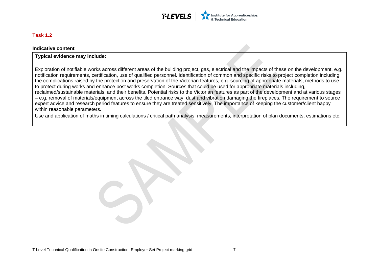

#### **Task 1.2**

#### **Indicative content**

#### **Typical evidence may include:**

Exploration of notifiable works across different areas of the building project, gas, electrical and the impacts of these on the development, e.g. notification requirements, certification, use of qualified personnel. Identification of common and specific risks to project completion including the complications raised by the protection and preservation of the Victorian features, e.g. sourcing of appropriate materials, methods to use to protect during works and enhance post works completion. Sources that could be used for appropriate materials including, reclaimed/sustainable materials, and their benefits. Potential risks to the Victorian features as part of the development and at various stages – e.g. removal of materials/equipment across the tiled entrance way, dust and vibration damaging the fireplaces. The requirement to source expert advice and research period features to ensure they are treated sensitively. The importance of keeping the customer/client happy within reasonable parameters.

Use and application of maths in timing calculations / critical path analysis, measurements, interpretation of plan documents, estimations etc.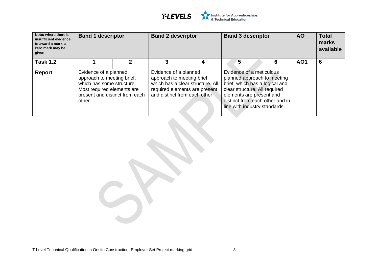

| Note: where there is<br>insufficient evidence<br>to award a mark, a<br>zero mark may be<br>given | <b>Band 1 descriptor</b>                                                                                                                                   | <b>Band 2 descriptor</b>                                                             |                                                                   | <b>Band 3 descriptor</b>                                                                                                                                                                                                   |  | <b>AO</b> | <b>Total</b><br>marks<br>available |   |
|--------------------------------------------------------------------------------------------------|------------------------------------------------------------------------------------------------------------------------------------------------------------|--------------------------------------------------------------------------------------|-------------------------------------------------------------------|----------------------------------------------------------------------------------------------------------------------------------------------------------------------------------------------------------------------------|--|-----------|------------------------------------|---|
| <b>Task 1.2</b>                                                                                  |                                                                                                                                                            |                                                                                      |                                                                   | 5                                                                                                                                                                                                                          |  | 6         | AO <sub>1</sub>                    | 6 |
| <b>Report</b>                                                                                    | Evidence of a planned<br>approach to meeting brief,<br>which has some structure.<br>Most required elements are<br>present and distinct from each<br>other. | Evidence of a planned<br>approach to meeting brief,<br>and distinct from each other. | which has a clear structure. All<br>required elements are present | Evidence of a meticulous<br>planned approach to meeting<br>brief, which has a logical and<br>clear structure. All required<br>elements are present and<br>distinct from each other and in<br>line with industry standards. |  |           |                                    |   |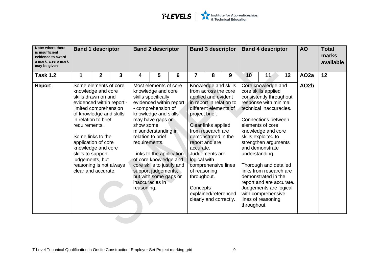| Note: where there<br>is insufficient<br>evidence to award<br>a mark, a zero mark<br>may be given |                                    | <b>Band 1 descriptor</b>                                                                                                                                                                                                                                                                                           |   | <b>Band 2 descriptor</b>                 |                                                                                                                                                                                                                                                                                                                                                                   |   |                                                                                        | <b>Band 3 descriptor</b>                                                                                                                                                                                                                                                                                 |   |             | <b>Band 4 descriptor</b>                                                                                                                                                                                                                                                                                                                                                                                                                                   |    | <b>AO</b>         | <b>Total</b><br>marks<br>available |
|--------------------------------------------------------------------------------------------------|------------------------------------|--------------------------------------------------------------------------------------------------------------------------------------------------------------------------------------------------------------------------------------------------------------------------------------------------------------------|---|------------------------------------------|-------------------------------------------------------------------------------------------------------------------------------------------------------------------------------------------------------------------------------------------------------------------------------------------------------------------------------------------------------------------|---|----------------------------------------------------------------------------------------|----------------------------------------------------------------------------------------------------------------------------------------------------------------------------------------------------------------------------------------------------------------------------------------------------------|---|-------------|------------------------------------------------------------------------------------------------------------------------------------------------------------------------------------------------------------------------------------------------------------------------------------------------------------------------------------------------------------------------------------------------------------------------------------------------------------|----|-------------------|------------------------------------|
| <b>Task 1.2</b>                                                                                  | 1                                  | $\mathbf 2$                                                                                                                                                                                                                                                                                                        | 3 | 4                                        | 5                                                                                                                                                                                                                                                                                                                                                                 | 6 |                                                                                        | 8                                                                                                                                                                                                                                                                                                        | 9 | 10          | 11                                                                                                                                                                                                                                                                                                                                                                                                                                                         | 12 | AO <sub>2a</sub>  | 12 <sup>2</sup>                    |
| <b>Report</b>                                                                                    | requirements.<br>skills to support | Some elements of core<br>knowledge and core<br>skills drawn on and<br>evidenced within report -<br>limited comprehension<br>of knowledge and skills<br>in relation to brief<br>Some links to the<br>application of core<br>knowledge and core<br>judgements, but<br>reasoning is not always<br>clear and accurate. |   | show some<br>requirements.<br>reasoning. | Most elements of core<br>knowledge and core<br>skills specifically<br>evidenced within report<br>- comprehension of<br>knowledge and skills<br>may have gaps or<br>misunderstanding in<br>relation to brief<br>Links to the application<br>of core knowledge and<br>core skills to justify and<br>support judgements,<br>but with some gaps or<br>inaccuracies in |   | project brief.<br>accurate.<br>logical with<br>of reasoning<br>throughout.<br>Concepts | Knowledge and skills<br>from across the core<br>applied and evident<br>in report in relation to<br>different elements of<br>Clear links applied<br>from research are<br>demonstrated in the<br>report and are<br>Judgements are<br>comprehensive lines<br>explained/referenced<br>clearly and correctly. |   | throughout. | Core knowledge and<br>core skills applied<br>consistently throughout<br>response with minimal<br>technical inaccuracies.<br>Connections between<br>elements of core<br>knowledge and core<br>skills exploited to<br>strengthen arguments<br>and demonstrate<br>understanding.<br>Thorough and detailed<br>links from research are<br>demonstrated in the<br>report and are accurate.<br>Judgements are logical<br>with comprehensive<br>lines of reasoning |    | AO <sub>2</sub> b |                                    |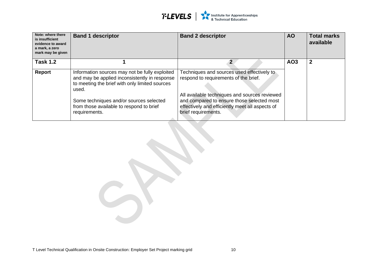

| Note: where there<br>is insufficient<br>evidence to award<br>a mark, a zero<br>mark may be given | <b>Band 1 descriptor</b>                                                                                                                                   | <b>Band 2 descriptor</b>                                                                                                                                              | <b>AO</b>       | <b>Total marks</b><br>available |
|--------------------------------------------------------------------------------------------------|------------------------------------------------------------------------------------------------------------------------------------------------------------|-----------------------------------------------------------------------------------------------------------------------------------------------------------------------|-----------------|---------------------------------|
| <b>Task 1.2</b>                                                                                  |                                                                                                                                                            |                                                                                                                                                                       | AO <sub>3</sub> | $\mathbf 2$                     |
| Report                                                                                           | Information sources may not be fully exploited<br>and may be applied inconsistently in response<br>to meeting the brief with only limited sources<br>used. | Techniques and sources used effectively to<br>respond to requirements of the brief.                                                                                   |                 |                                 |
|                                                                                                  | Some techniques and/or sources selected<br>from those available to respond to brief<br>requirements.                                                       | All available techniques and sources reviewed<br>and compared to ensure those selected most<br>effectively and efficiently meet all aspects of<br>brief requirements. |                 |                                 |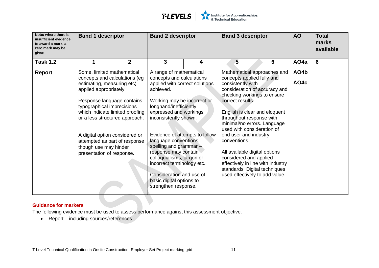

| Note: where there is<br>insufficient evidence<br>to award a mark, a<br>zero mark may be<br>given | <b>Band 1 descriptor</b>                                                                 |                | <b>Band 2 descriptor</b>                                                            |   | <b>Band 3 descriptor</b>                                                                                                      | <b>AO</b> | <b>Total</b><br>marks<br>available |   |
|--------------------------------------------------------------------------------------------------|------------------------------------------------------------------------------------------|----------------|-------------------------------------------------------------------------------------|---|-------------------------------------------------------------------------------------------------------------------------------|-----------|------------------------------------|---|
| <b>Task 1.2</b>                                                                                  | 1                                                                                        | $\overline{2}$ | 3                                                                                   | 4 | 5                                                                                                                             | 6         | AO <sub>4</sub> a                  | 6 |
| <b>Report</b>                                                                                    | Some, limited mathematical<br>concepts and calculations (eg                              |                | A range of mathematical<br>concepts and calculations                                |   | Mathematical approaches and<br>concepts applied fully and                                                                     |           | AO4b                               |   |
|                                                                                                  | estimating, measuring etc)<br>applied appropriately.                                     |                | applied with correct solutions<br>achieved.                                         |   | consistently with<br>consideration of accuracy and<br>checking workings to ensure                                             |           | AO4c                               |   |
|                                                                                                  | Response language contains<br>typographical imprecisions                                 |                | Working may be incorrect or<br>longhand/inefficiently                               |   | correct results.                                                                                                              |           |                                    |   |
|                                                                                                  | which indicate limited proofing<br>or a less structured approach.                        |                | expressed and workings<br>inconsistently shown.                                     |   | English is clear and eloquent<br>throughout response with<br>minimal/no errors. Language<br>used with consideration of        |           |                                    |   |
|                                                                                                  | A digital option considered or<br>attempted as part of response<br>though use may hinder |                | Evidence of attempts to follow<br>language conventions,<br>spelling and grammar $-$ |   | end user and industry<br>conventions.                                                                                         |           |                                    |   |
|                                                                                                  | presentation of response.                                                                |                | response may contain<br>colloquialisms, jargon or<br>incorrect terminology etc.     |   | All available digital options<br>considered and applied<br>effectively in line with industry<br>standards. Digital techniques |           |                                    |   |
|                                                                                                  |                                                                                          |                | Consideration and use of<br>basic digital options to<br>strengthen response.        |   | used effectively to add value.                                                                                                |           |                                    |   |

The following evidence must be used to assess performance against this assessment objective.

• Report – including sources/references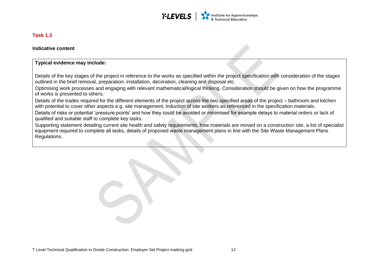

#### **Task 1.3**

**Indicative content** 

#### **Typical evidence may include:**

Details of the key stages of the project in reference to the works as specified within the project specification with consideration of the stages outlined in the brief removal, preparation, installation, decoration, cleaning and disposal etc.

Optimising work processes and engaging with relevant mathematical/logical thinking. Consideration should be given on how the programme of works is presented to others.

Details of the trades required for the different elements of the project across the two specified areas of the project – bathroom and kitchen with potential to cover other aspects e.g. site management, induction of site workers as referenced in the specification materials.

Details of risks or potential 'pressure points' and how they could be avoided or minimised for example delays to material orders or lack of qualified and suitable staff to complete key tasks.

<span id="page-12-0"></span>Supporting statement detailing current site health and safety requirements, how materials are moved on a construction site, a list of specialist equipment required to complete all tasks, details of proposed waste management plans in line with the Site Waste Management Plans Regulations.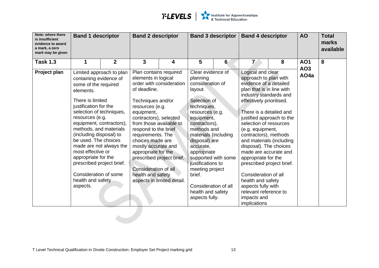

| Note: where there<br>is insufficient<br>evidence to award<br>a mark, a zero<br>mark may be given | <b>Band 1 descriptor</b>                                                                                                                                                                                                                                                                                                                                                                            |                                                     | <b>Band 2 descriptor</b>                                                                                                                                                                                                                                                                                                             |                                                                                     |                                                                                                                                                                                                                                                                                                                                                    | <b>Band 3 descriptor</b> | <b>Band 4 descriptor</b>                                                                                                                                                                                                                                                                                                                                                                                                                                                                                                                             |   | <b>AO</b>                     | <b>Total</b><br>marks<br>available |
|--------------------------------------------------------------------------------------------------|-----------------------------------------------------------------------------------------------------------------------------------------------------------------------------------------------------------------------------------------------------------------------------------------------------------------------------------------------------------------------------------------------------|-----------------------------------------------------|--------------------------------------------------------------------------------------------------------------------------------------------------------------------------------------------------------------------------------------------------------------------------------------------------------------------------------------|-------------------------------------------------------------------------------------|----------------------------------------------------------------------------------------------------------------------------------------------------------------------------------------------------------------------------------------------------------------------------------------------------------------------------------------------------|--------------------------|------------------------------------------------------------------------------------------------------------------------------------------------------------------------------------------------------------------------------------------------------------------------------------------------------------------------------------------------------------------------------------------------------------------------------------------------------------------------------------------------------------------------------------------------------|---|-------------------------------|------------------------------------|
| <b>Task 1.3</b>                                                                                  | 1                                                                                                                                                                                                                                                                                                                                                                                                   | $\overline{2}$                                      | 3                                                                                                                                                                                                                                                                                                                                    | 4                                                                                   | 5                                                                                                                                                                                                                                                                                                                                                  | 6                        | $\overline{L}$                                                                                                                                                                                                                                                                                                                                                                                                                                                                                                                                       | 8 | <b>AO1</b><br>AO <sub>3</sub> | 8                                  |
| Project plan                                                                                     | containing evidence of<br>some of the required<br>elements.<br>There is limited<br>justification for the<br>selection of techniques,<br>resources (e.g.<br>equipment, contractors),<br>methods, and materials<br>(including disposal) to<br>be used. The choices<br>most effective or<br>appropriate for the<br>prescribed project brief.<br>Consideration of some<br>health and safety<br>aspects. | Limited approach to plan<br>made are not always the | Plan contains required<br>elements in logical<br>of deadline.<br>Techniques and/or<br>resources (e.g.<br>equipment,<br>contractors), selected<br>from those available to<br>respond to the brief<br>requirements. The<br>choices made are<br>mostly accurate and<br>appropriate for the<br>Consideration of all<br>health and safety | order with consideration<br>prescribed project brief.<br>aspects in limited detail. | Clear evidence of<br>planning<br>consideration of<br>layout.<br>Selection of<br>techniques,<br>resources (e.g.<br>equipment,<br>contractors),<br>methods and<br>materials (including<br>disposal) are<br>accurate.<br>appropriate<br>justifications to<br>meeting project<br>brief.<br>Consideration of all<br>health and safety<br>aspects fully. | supported with some      | Logical and clear<br>approach to plan with<br>evidence of a detailed<br>plan that is in line with<br>industry standards and<br>effectively prioritised.<br>There is a detailed and<br>justified approach to the<br>selection of resources<br>(e.g. equipment,<br>contractors), methods<br>and materials (including<br>disposal). The choices<br>made are accurate and<br>appropriate for the<br>prescribed project brief.<br>Consideration of all<br>health and safety<br>aspects fully with<br>relevant reference to<br>impacts and<br>implications |   | AO <sub>4</sub> a             |                                    |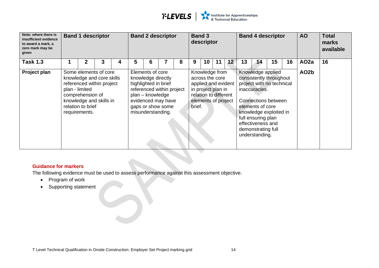

| Note: where there is<br>insufficient evidence<br>to award a mark, a<br>zero mark may be<br>given | <b>Band 1 descriptor</b>                                                                                                                                                               |   |   |   | <b>Band 2 descriptor</b>                                  |                                                                                                                    |   |        | <b>Band 3</b><br>descriptor |                                                                                                                                |    | <b>Band 4 descriptor</b> |                                                                                                                      |                                                                                                                            |    | <b>AO</b>         | <b>Total</b><br>marks<br>available |
|--------------------------------------------------------------------------------------------------|----------------------------------------------------------------------------------------------------------------------------------------------------------------------------------------|---|---|---|-----------------------------------------------------------|--------------------------------------------------------------------------------------------------------------------|---|--------|-----------------------------|--------------------------------------------------------------------------------------------------------------------------------|----|--------------------------|----------------------------------------------------------------------------------------------------------------------|----------------------------------------------------------------------------------------------------------------------------|----|-------------------|------------------------------------|
| <b>Task 1.3</b>                                                                                  | 2                                                                                                                                                                                      | 3 | 4 | 5 | 6                                                         |                                                                                                                    | 8 | 9      | 10                          | 11                                                                                                                             | 12 | 13                       | 14                                                                                                                   | 15                                                                                                                         | 16 | AO <sub>2a</sub>  | 16                                 |
| Project plan                                                                                     | Some elements of core<br>knowledge and core skills<br>referenced within project<br>plan - limited<br>comprehension of<br>knowledge and skills in<br>relation to brief<br>requirements. |   |   |   | Elements of core<br>plan - knowledge<br>misunderstanding. | knowledge directly<br>highlighted in brief<br>referenced within project<br>evidenced may have<br>gaps or show some |   | brief. |                             | Knowledge from<br>across the core<br>applied and evident<br>in project plan in<br>relation to different<br>elements of project |    |                          | inaccuracies.<br>elements of core<br>full ensuring plan<br>effectiveness and<br>demonstrating full<br>understanding. | Knowledge applied<br>consistently throughout<br>project with no technical<br>Connections between<br>knowledge exploited in |    | AO <sub>2</sub> b |                                    |

The following evidence must be used to assess performance against this assessment objective.

- Program of work
- Supporting statement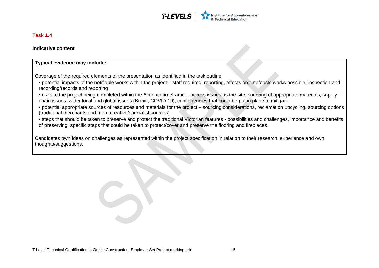

#### **Task 1.4**

**Indicative content**

#### **Typical evidence may include:**

Coverage of the required elements of the presentation as identified in the task outline:

• potential impacts of the notifiable works within the project – staff required, reporting, effects on time/costs works possible, inspection and recording/records and reporting

• risks to the project being completed within the 6 month timeframe – access issues as the site, sourcing of appropriate materials, supply chain issues, wider local and global issues (Brexit, COVID 19), contingencies that could be put in place to mitigate

• potential appropriate sources of resources and materials for the project – sourcing considerations, reclamation upcycling, sourcing options (traditional merchants and more creative/specialist sources)

• steps that should be taken to preserve and protect the traditional Victorian features - possibilities and challenges, importance and benefits of preserving, specific steps that could be taken to protect/cover and preserve the flooring and fireplaces.

<span id="page-15-0"></span>Candidates own ideas on challenges as represented within the project specification in relation to their research, experience and own thoughts/suggestions.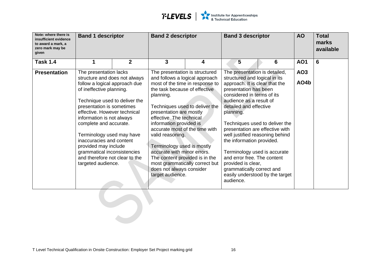

| Note: where there is<br>insufficient evidence<br>to award a mark, a<br>zero mark may be<br>given | <b>Band 1 descriptor</b>                                                                                                                                                                                                                                                                                                                                                                                                                          |                | <b>Band 2 descriptor</b>                                                                                                                                                                                                                                                                                                                                                                                                                                                                                     |   | <b>Band 3 descriptor</b>                                                                                                                                                                                                                                                                                                                                                                                                                                                                      |                                 | <b>AO</b>               | <b>Total</b><br>marks<br>available |
|--------------------------------------------------------------------------------------------------|---------------------------------------------------------------------------------------------------------------------------------------------------------------------------------------------------------------------------------------------------------------------------------------------------------------------------------------------------------------------------------------------------------------------------------------------------|----------------|--------------------------------------------------------------------------------------------------------------------------------------------------------------------------------------------------------------------------------------------------------------------------------------------------------------------------------------------------------------------------------------------------------------------------------------------------------------------------------------------------------------|---|-----------------------------------------------------------------------------------------------------------------------------------------------------------------------------------------------------------------------------------------------------------------------------------------------------------------------------------------------------------------------------------------------------------------------------------------------------------------------------------------------|---------------------------------|-------------------------|------------------------------------|
| <b>Task 1.4</b>                                                                                  | 1                                                                                                                                                                                                                                                                                                                                                                                                                                                 | $\overline{2}$ | $\mathbf{3}$                                                                                                                                                                                                                                                                                                                                                                                                                                                                                                 | 4 | 5                                                                                                                                                                                                                                                                                                                                                                                                                                                                                             | 6                               | <b>AO1</b>              | 6                                  |
| <b>Presentation</b>                                                                              | The presentation lacks<br>structure and does not always<br>follow a logical approach due<br>of ineffective planning.<br>Technique used to deliver the<br>presentation is sometimes<br>effective. However technical<br>information is not always<br>complete and accurate.<br>Terminology used may have<br>inaccuracies and content<br>provided may include<br>grammatical inconsistencies<br>and therefore not clear to the<br>targeted audience. |                | The presentation is structured<br>and follows a logical approach<br>most of the time in response to<br>the task because of effective<br>planning.<br>Techniques used to deliver the<br>presentation are mostly<br>effective. The technical<br>information provided is<br>accurate most of the time with<br>valid reasoning.<br>Terminology used is mostly<br>accurate with minor errors.<br>The content provided is in the<br>most grammatically correct but<br>does not always consider<br>target audience. |   | The presentation is detailed,<br>structured and logical in its<br>approach. It is clear that the<br>presentation has been<br>considered in terms of its<br>audience as a result of<br>detailed and effective<br>planning.<br>Techniques used to deliver the<br>presentation are effective with<br>well justified reasoning behind<br>the information provided.<br>Terminology used is accurate<br>and error free. The content<br>provided is clear,<br>grammatically correct and<br>audience. | easily understood by the target | AO <sub>3</sub><br>AO4b |                                    |
|                                                                                                  |                                                                                                                                                                                                                                                                                                                                                                                                                                                   |                |                                                                                                                                                                                                                                                                                                                                                                                                                                                                                                              |   |                                                                                                                                                                                                                                                                                                                                                                                                                                                                                               |                                 |                         |                                    |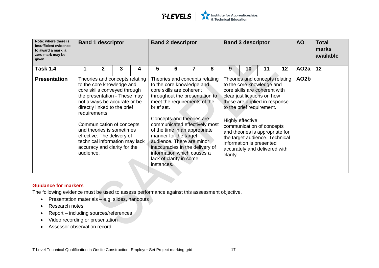

| Note: where there is<br>insufficient evidence<br>to award a mark, a<br>zero mark may be<br>given |                            | <b>Band 1 descriptor</b> |                                                                                                                                                                                                                                                                                                                                                       |   | <b>Band 2 descriptor</b> |                                                                                                                                                                                                                                                                                                                                                                                                            |   |   |          | <b>Band 3 descriptor</b>                                                                                                                                                                                                                                                                                                                                                     |    | <b>AO</b>       | <b>Total</b><br>marks<br>available |    |
|--------------------------------------------------------------------------------------------------|----------------------------|--------------------------|-------------------------------------------------------------------------------------------------------------------------------------------------------------------------------------------------------------------------------------------------------------------------------------------------------------------------------------------------------|---|--------------------------|------------------------------------------------------------------------------------------------------------------------------------------------------------------------------------------------------------------------------------------------------------------------------------------------------------------------------------------------------------------------------------------------------------|---|---|----------|------------------------------------------------------------------------------------------------------------------------------------------------------------------------------------------------------------------------------------------------------------------------------------------------------------------------------------------------------------------------------|----|-----------------|------------------------------------|----|
| <b>Task 1.4</b>                                                                                  |                            | 2                        | 3                                                                                                                                                                                                                                                                                                                                                     | 4 | 5                        | 6                                                                                                                                                                                                                                                                                                                                                                                                          | 7 | 8 | 9        | 10                                                                                                                                                                                                                                                                                                                                                                           | 11 | 12 <sub>2</sub> | AO <sub>2</sub> a                  | 12 |
| <b>Presentation</b>                                                                              | requirements.<br>audience. |                          | Theories and concepts relating<br>to the core knowledge and<br>core skills conveyed through<br>the presentation - These may<br>not always be accurate or be<br>directly linked to the brief<br>Communication of concepts<br>and theories is sometimes<br>effective. The delivery of<br>technical information may lack<br>accuracy and clarity for the |   | brief set.<br>instances. | Theories and concepts relating<br>to the core knowledge and<br>core skills are coherent<br>throughout the presentation to<br>meet the requirements of the<br>Concepts and theories are<br>communicated effectively most<br>of the time in an appropriate<br>manner for the target<br>audience. There are minor<br>inaccuracies in the delivery of<br>information which causes a<br>lack of clarity in some |   |   | clarity. | Theories and concepts relating<br>to the core knowledge and<br>core skills are coherent with<br>clear justifications on how<br>these are applied in response<br>to the brief requirement.<br>Highly effective<br>communication of concepts<br>and theories is appropriate for<br>the target audience. Technical<br>information is presented<br>accurately and delivered with |    |                 | AO <sub>2</sub> b                  |    |

The following evidence must be used to assess performance against this assessment objective.

- Presentation materials e.g. slides, handouts
- Research notes
- Report including sources/references
- Video recording or presentation
- Assessor observation record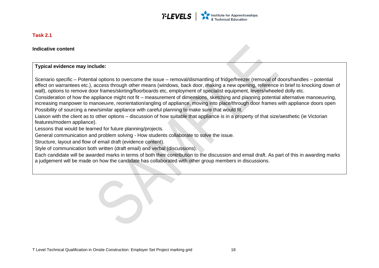

#### **Task 2.1**

**Indicative content**

#### **Typical evidence may include:**

Scenario specific – Potential options to overcome the issue – removal/dismantling of fridge/freezer (removal of doors/handles – potential effect on warrantees etc.), access through other means (windows, back door, making a new opening, reference in brief to knocking down of wall), options to remove door frames/skirting/floorboards etc, employment of specialist equipment, levers/wheeled dolly etc.

Consideration of how the appliance might not fit – measurement of dimensions, sketching and planning potential alternative manoeuvring, increasing manpower to manoeuvre, reorientation/angling of appliance, moving into place/through door frames with appliance doors open Possibility of sourcing a new/similar appliance with careful planning to make sure that would fit.

Liaison with the client as to other options – discussion of how suitable that appliance is in a property of that size/aesthetic (ie Victorian features/modern appliance).

Lessons that would be learned for future planning/projects.

General communication and problem solving - How students collaborate to solve the issue.

Structure, layout and flow of email draft (evidence content).

<span id="page-18-0"></span>Style of communication both written (draft email) and verbal (discussions).

Each candidate will be awarded marks in terms of both their contribution to the discussion and email draft. As part of this in awarding marks a judgement will be made on how the candidate has collaborated with other group members in discussions.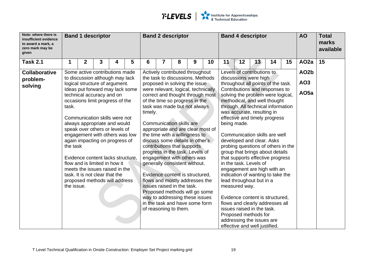

| Note: where there is<br>insufficient evidence<br>to award a mark, a<br>zero mark may be<br>given | <b>Band 1 descriptor</b>                                                                                                                                                                                                                                                                                                                                                 |              |   |   | <b>Band 2 descriptor</b> |                                                                                                                                                                                                                                                                                                                                                                                                                                                                                                                        |                                                                     |   | <b>Band 4 descriptor</b> |                                                                                                                                                                                                                                                                                                                                                                                                                                                                                                                                                                                            |                                                                                                                                           |    | <b>AO</b> | <b>Total</b><br>marks<br>available |                  |                   |    |
|--------------------------------------------------------------------------------------------------|--------------------------------------------------------------------------------------------------------------------------------------------------------------------------------------------------------------------------------------------------------------------------------------------------------------------------------------------------------------------------|--------------|---|---|--------------------------|------------------------------------------------------------------------------------------------------------------------------------------------------------------------------------------------------------------------------------------------------------------------------------------------------------------------------------------------------------------------------------------------------------------------------------------------------------------------------------------------------------------------|---------------------------------------------------------------------|---|--------------------------|--------------------------------------------------------------------------------------------------------------------------------------------------------------------------------------------------------------------------------------------------------------------------------------------------------------------------------------------------------------------------------------------------------------------------------------------------------------------------------------------------------------------------------------------------------------------------------------------|-------------------------------------------------------------------------------------------------------------------------------------------|----|-----------|------------------------------------|------------------|-------------------|----|
| <b>Task 2.1</b>                                                                                  |                                                                                                                                                                                                                                                                                                                                                                          | $\mathbf{2}$ | 3 | 4 | 5                        | 6                                                                                                                                                                                                                                                                                                                                                                                                                                                                                                                      | 7                                                                   | 8 | 9                        | 10                                                                                                                                                                                                                                                                                                                                                                                                                                                                                                                                                                                         | 11                                                                                                                                        | 12 | 13        | 14                                 | 15               | AO <sub>2a</sub>  | 15 |
| <b>Collaborative</b>                                                                             | Some active contributions made                                                                                                                                                                                                                                                                                                                                           |              |   |   |                          |                                                                                                                                                                                                                                                                                                                                                                                                                                                                                                                        | Actively contributed throughout<br>the task to discussions. Methods |   |                          |                                                                                                                                                                                                                                                                                                                                                                                                                                                                                                                                                                                            | Levels of contributions to                                                                                                                |    |           |                                    |                  | AO <sub>2</sub> b |    |
| problem-<br>solving                                                                              | to discussion although may lack<br>logical structure of argument.                                                                                                                                                                                                                                                                                                        |              |   |   |                          | proposed in solving the issue                                                                                                                                                                                                                                                                                                                                                                                                                                                                                          |                                                                     |   |                          | discussions were high<br>throughout all points of the task.                                                                                                                                                                                                                                                                                                                                                                                                                                                                                                                                |                                                                                                                                           |    |           | AO <sub>3</sub>                    |                  |                   |    |
|                                                                                                  | Ideas put forward may lack some<br>technical accuracy and on<br>occasions limit progress of the<br>task.                                                                                                                                                                                                                                                                 |              |   |   |                          | were relevant, logical, technically<br>correct and thought through most<br>of the time so progress in the<br>task was made but not always                                                                                                                                                                                                                                                                                                                                                                              |                                                                     |   |                          |                                                                                                                                                                                                                                                                                                                                                                                                                                                                                                                                                                                            | Contributions and responses to<br>solving the problem were logical,<br>methodical, and well thought<br>through. All technical information |    |           |                                    | AO <sub>5a</sub> |                   |    |
|                                                                                                  | Communication skills were not<br>always appropriate and would<br>speak over others or levels of<br>engagement with others was low<br>again impacting on progress of<br>the task<br>Evidence content lacks structure.<br>flow and is limited in how it<br>meets the issues raised in the<br>task. It is not clear that the<br>proposed methods will address<br>the issue. |              |   |   |                          | timely.<br><b>Communication skills are</b><br>appropriate and are clear most of<br>the time with a willingness to<br>discuss some details in other's<br>contributions that supports<br>progress in the task. Levels of<br>engagement with others was<br>generally consistent without.<br>Evidence content is structured.<br>flows and mostly addresses the<br>issues raised in the task.<br>Proposed methods will go some<br>way to addressing these issues<br>in the task and have some form<br>of reasoning to them. |                                                                     |   |                          | was accurate, resulting in<br>effective and timely progress<br>being made.<br>Communication skills are well<br>developed and clear. Asks<br>probing questions of others in the<br>group that brings about details<br>that supports effective progress<br>in the task. Levels of<br>engagement are high with an<br>indication of wanting to take the<br>lead throughout but in a<br>measured way.<br>Evidence content is structured,<br>flows and clearly addresses all<br>issues raised in the task.<br>Proposed methods for<br>addressing the issues are<br>effective and well justified. |                                                                                                                                           |    |           |                                    |                  |                   |    |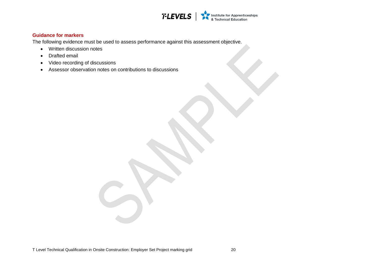

The following evidence must be used to assess performance against this assessment objective.

- Written discussion notes
- Drafted email
- Video recording of discussions
- Assessor observation notes on contributions to discussions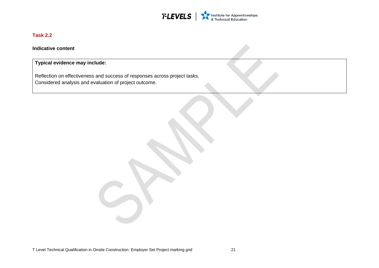

#### **Task 2.2**

**Indicative content**

**Typical evidence may include:** 

<span id="page-21-0"></span>Reflection on effectiveness and success of responses across project tasks. Considered analysis and evaluation of project outcome.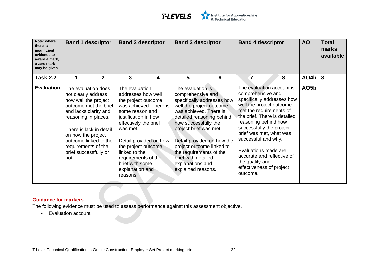

| Note: where<br>there is<br>insufficient<br>evidence to<br>award a mark,<br>a zero mark<br>may be given | <b>Band 1 descriptor</b>                                                                                                                                                                                                                                                       |             | <b>Band 2 descriptor</b>                                                                                                                                                                                                                                                                                         |   | <b>Band 3 descriptor</b>                                                                                                                                                                                                                                                                             |                                                          | <b>Band 4 descriptor</b>                                                                                                                                                                                                                                                                                                                                     |                            | <b>AO</b>         | <b>Total</b><br>marks<br>available |
|--------------------------------------------------------------------------------------------------------|--------------------------------------------------------------------------------------------------------------------------------------------------------------------------------------------------------------------------------------------------------------------------------|-------------|------------------------------------------------------------------------------------------------------------------------------------------------------------------------------------------------------------------------------------------------------------------------------------------------------------------|---|------------------------------------------------------------------------------------------------------------------------------------------------------------------------------------------------------------------------------------------------------------------------------------------------------|----------------------------------------------------------|--------------------------------------------------------------------------------------------------------------------------------------------------------------------------------------------------------------------------------------------------------------------------------------------------------------------------------------------------------------|----------------------------|-------------------|------------------------------------|
| <b>Task 2.2</b>                                                                                        | 1                                                                                                                                                                                                                                                                              | $\mathbf 2$ | 3                                                                                                                                                                                                                                                                                                                | 4 | 5                                                                                                                                                                                                                                                                                                    | 6                                                        | 7                                                                                                                                                                                                                                                                                                                                                            | 8                          | AO4b              | 8                                  |
| <b>Evaluation</b>                                                                                      | The evaluation does<br>not clearly address<br>how well the project<br>outcome met the brief<br>and lacks clarity and<br>reasoning in places.<br>There is lack in detail<br>on how the project<br>outcome linked to the<br>requirements of the<br>brief successfully or<br>not. |             | The evaluation<br>addresses how well<br>the project outcome<br>was achieved. There is<br>some reason and<br>justification in how<br>effectively the brief<br>was met.<br>Detail provided on how<br>the project outcome<br>linked to the<br>requirements of the<br>brief with some<br>explanation and<br>reasons. |   | The evaluation is<br>comprehensive and<br>well the project outcome<br>was achieved. There is<br>detailed reasoning behind<br>how successfully the<br>project brief was met.<br>project outcome linked to<br>the requirements of the<br>brief with detailed<br>explanations and<br>explained reasons. | specifically addresses how<br>Detail provided on how the | The evaluation account is<br>comprehensive and<br>well the project outcome<br>met the requirements of<br>the brief. There is detailed<br>reasoning behind how<br>successfully the project<br>brief was met, what was<br>successful and why.<br>Evaluations made are<br>accurate and reflective of<br>the quality and<br>effectiveness of project<br>outcome. | specifically addresses how | AO <sub>5</sub> b |                                    |

The following evidence must be used to assess performance against this assessment objective.

• Evaluation account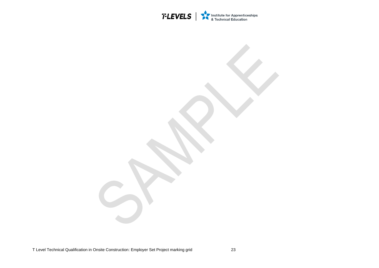

T Level Technical Qualification in Onsite Construction: Employer Set Project marking grid 23